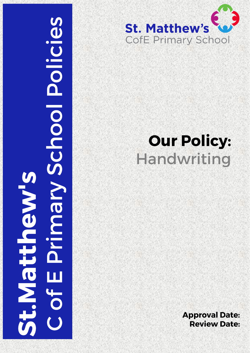



# **Our Policy:** Handwriting

**Approval Date: Review Date:**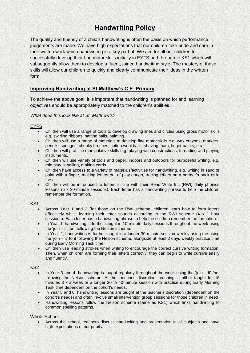# **Handwriting Policy**

The quality and fluency of a child's handwriting is often the basis on which performance judgements are made. We have high expectations that our children take pride and care in their written work which handwriting is a key part of. We aim for all our children to successfully develop their fine motor skills initially in EYFS and through to KS1 which will subsequently allow them to develop a fluent, joined handwriting style. The mastery of these skills will allow our children to quickly and clearly communicate their ideas in the written form.

# **Improving Handwriting at St Matthew's C.E. Primary**

To achieve the above goal, it is important that handwriting is planned for and learning objectives should be appropriately matched to the children's abilities.

#### *What does this look like at St. Matthew's?*

#### **EYFS**

- Children will use a range of tools to develop drawing lines and circles using gross motor skills e.g. swirling ribbons, batting balls, painting.
- Children will use a range of materials to develop fine motor skills e.g. wax crayons, markers, pencils, sponges, chunky brushes, cotton wool balls, shaving foam, finger paints, etc.
- Children will practice manipulative skills e.g. playing with constructions, threading and playing instruments.
- Children will use variety of tools and paper, indoors and outdoors for purposeful writing. e.g. role play, labelling, making cards.
- Children have access to a variety of materials/activities for handwriting, e.g. writing in sand or paint with a finger, making letters out of play dough, tracing letters on a partner's back or in the air.
- Children will be introduced to letters in line with their Read Write Inc (RWI) daily phonics lessons (5 x 30-minute sessions). Each letter has a handwriting phrase to help the children remember the formation.

#### KS1

- Across Year 1 and 2 (for those on the RWI scheme, children learn how to form letters effectively whilst learning their letter sounds according to the RWI scheme (4 x 1 hour sessions). Each letter has a handwriting phrase to help the children remember the formation.
- In Year 1, handwriting is further taught in 10-minute daily sessions throughout the week using the 'join – it' font following the Nelson scheme.
- In Year 2, handwriting is further taught in a longer 30-minute session weekly using the using the 'join – it' font following the Nelson scheme, alongside at least 2 days weekly practice time during Early Morning Task time.
- Children use leading strokes when writing to encourage the correct cursive writing formation. Then, when children are forming their letters correctly, they can begin to write cursive easily and fluently.

#### KS2

- In Year 3 and 4, handwriting is taught regularly throughout the week using the 'join  $-$  it' font following the Nelson scheme. At the teacher's discretion, teaching is either taught for 15 minutes 3 x a week or a longer 30 to 40-minute session with practice during Early Morning Task time dependent on the cohort's needs.
- In Year 5 and 6, handwriting lessons are taught at the teacher's discretion (dependent on the cohort's needs) and often involve small intervention group sessions for those children in need.
- Handwriting lessons follow the Nelson scheme (same as KS1) which links handwriting to common spelling patterns.

#### Whole School

 Across the school, teachers discuss handwriting and presentation in all subjects and have high expectations of our pupils.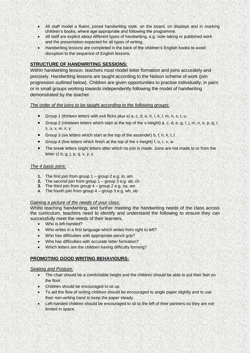- All staff model a fluent, joined handwriting style, on the board, on displays and in marking children's books, where age appropriate and following the programme.
- All staff are explicit about different types of handwriting, e.g. note-taking or published work and the presentation expected for all types of writing.
- Handwriting lessons are completed in the back of the children's English books to avoid disruption to the sequence of English lessons.

# **STRUCTURE OF HANDWRITING SESSIONS:**

Within handwriting lesson, teachers must model letter formation and joins accurately and precisely. Handwriting lessons are taught according to the Nelson scheme of work (join progression outlined below). Children are given opportunities to practise individually, in pairs or in small groups working towards independently following the model of handwriting demonstrated by the teacher.

#### *The order of the joins to be taught according to the following groups:*

- Group 1 (thirteen letters with exit flicks plus s) a, c, d, e, h, I, k, l, m, n, s, t, u,
- Group 2 (nineteen letters which start at the top of the x-height) a, c, d, e, g, I, j, m, n, o, p, q, r, s, u, v, w, x, y
- Group 3 (six letters which start at the top of the ascender) b, f, h, k, l, t
- Group 4 (five letters which finish at the top of the x-height) f, o, r, v, w
- The break letters (eight letters after which no join is made. Joins are not made to or from the letter  $z$ ) b,  $q$ ,  $j$ ,  $p$ ,  $q$ ,  $x$ ,  $y$ ,  $z$

#### *The 4 basic joins:*

- **1.** The first join from group 1 group 2 e.g. in, am
- **2.** The second join from group 1 group 3 e.g. ab, ch
- **3.** The third join from group 4 group 2 e.g. oa, wo
- **4.** The fourth join from group 4 group 3 e.g. wh, ob

#### *Gaining a picture of the needs of your class:*

Whilst teaching handwriting, and further meeting the handwriting needs of the class across the curriculum, teachers need to identify and understand the following to ensure they can successfully meet the needs of their learners.

- Who is left-handed?
- Who writes in a first language which writes from right to left?
- Who has difficulties with appropriate pencil grip?
- Who has difficulties with accurate letter formation?
- Which letters are the children having difficulty forming?

#### **PROMOTING GOOD WRITING BEHAVIOURS:**

#### *Seating and Posture:*

- The chair should be a comfortable height and the children should be able to put their feet on the floor.
- Children should be encouraged to sit up.
- To aid the flow of writing children should be encouraged to angle paper slightly and to use their non-writing hand to keep the paper steady.
- Left-handed children should be encouraged to sit to the left of their partners so they are not limited in space.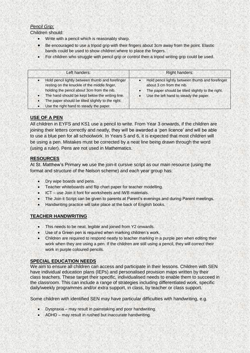# *Pencil Grip:*

Children should:

- Write with a pencil which is reasonably sharp.
- Be encouraged to use a tripod grip with their fingers about 3cm away from the point. Elastic bands could be used to show children where to place the fingers.
- For children who struggle with pencil grip or control then a tripod writing grip could be used.

| Left handers:                                                                                                                                                                                                                                                                                                                            | <b>Right handers:</b>                                                                                                                                                       |
|------------------------------------------------------------------------------------------------------------------------------------------------------------------------------------------------------------------------------------------------------------------------------------------------------------------------------------------|-----------------------------------------------------------------------------------------------------------------------------------------------------------------------------|
| Hold pencil lightly between thumb and forefinger<br>resting on the knuckle of the middle finger,<br>holding the pencil about 3cm from the nib.<br>The hand should be kept below the writing line.<br>$\bullet$<br>The paper should be tilted slightly to the right.<br>$\bullet$<br>Use the right hand to steady the paper.<br>$\bullet$ | Hold pencil lightly between thumb and forefinger<br>about 3 cm from the nib.<br>The paper should be tilted slightly to the right.<br>Use the left hand to steady the paper. |

# **USE OF A PEN**

All children in EYFS and KS1 use a pencil to write. From Year 3 onwards, if the children are joining their letters correctly and neatly, they will be awarded a 'pen licence' and will be able to use a blue pen for all schoolwork. In Years 5 and 6, it is expected that most children will be using a pen. Mistakes must be corrected by a neat line being drawn through the word (using a ruler). Pens are not used in Mathematics.

### **RESOURCES**

At St. Matthew's Primary we use the join-it cursive script as our main resource (using the format and structure of the Nelson scheme) and each year group has:

- Dry wipe boards and pens.
- Teacher whiteboards and flip chart paper for teacher modelling.
- ICT use Join it font for worksheets and IWB materials.
- The Join it Script can be given to parents at Parent's evenings and during Parent meetings.
- Handwriting practice will take place at the back of English books.

#### **TEACHER HANDWRITING**

- This needs to be neat, legible and joined from Y2 onwards.
- Use of a Green pen is required when marking children's work.
- Children are required to respond neatly to teacher marking in a purple pen when editing their work when they are using a pen. If the children are still using a pencil, they will correct their work in purple coloured pencils.

#### **SPECIAL EDUCATION NEEDS**

We aim to ensure all children can access and participate in their lessons. Children with SEN have individual education plans (IEPs) and personalised provision maps written by their class teachers. These target their specific, individualised needs to enable them to succeed in the classroom. This can include a range of strategies including differentiated work, specific daily/weekly programmes and/or extra support, in class, by teacher or class support.

Some children with identified SEN may have particular difficulties with handwriting, e.g.

- Dyspraxia may result in painstaking and poor handwriting.
- ADHD may result in rushed but inaccurate handwriting.